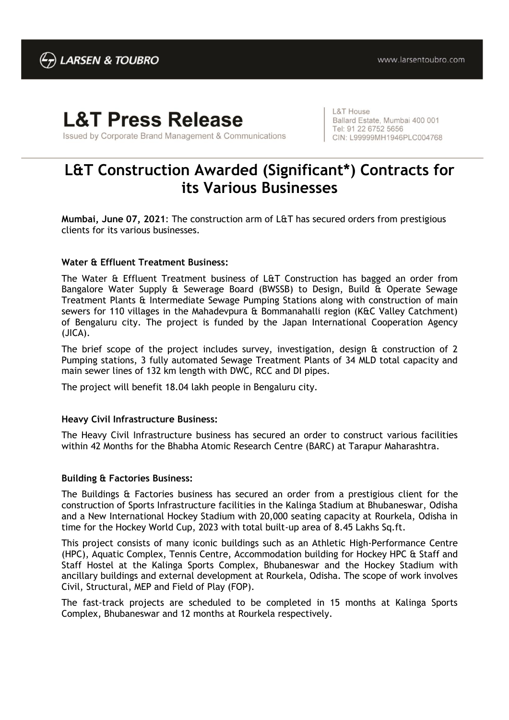# **L&T Press Release**

Issued by Corporate Brand Management & Communications

**L&T House** Ballard Estate, Mumbai 400 001 Tel: 91 22 6752 5656 CIN: L99999MH1946PLC004768

# **L&T Construction Awarded (Significant\*) Contracts for its Various Businesses**

**Mumbai, June 07, 2021**: The construction arm of L&T has secured orders from prestigious clients for its various businesses.

## **Water & Effluent Treatment Business:**

The Water & Effluent Treatment business of L&T Construction has bagged an order from Bangalore Water Supply & Sewerage Board (BWSSB) to Design, Build & Operate Sewage Treatment Plants & Intermediate Sewage Pumping Stations along with construction of main sewers for 110 villages in the Mahadevpura & Bommanahalli region (K&C Valley Catchment) of Bengaluru city. The project is funded by the Japan International Cooperation Agency (JICA).

The brief scope of the project includes survey, investigation, design & construction of 2 Pumping stations, 3 fully automated Sewage Treatment Plants of 34 MLD total capacity and main sewer lines of 132 km length with DWC, RCC and DI pipes.

The project will benefit 18.04 lakh people in Bengaluru city.

#### **Heavy Civil Infrastructure Business:**

The Heavy Civil Infrastructure business has secured an order to construct various facilities within 42 Months for the Bhabha Atomic Research Centre (BARC) at Tarapur Maharashtra.

#### **Building & Factories Business:**

The Buildings & Factories business has secured an order from a prestigious client for the construction of Sports Infrastructure facilities in the Kalinga Stadium at Bhubaneswar, Odisha and a New International Hockey Stadium with 20,000 seating capacity at Rourkela, Odisha in time for the Hockey World Cup, 2023 with total built-up area of 8.45 Lakhs Sq.ft.

This project consists of many iconic buildings such as an Athletic High-Performance Centre (HPC), Aquatic Complex, Tennis Centre, Accommodation building for Hockey HPC & Staff and Staff Hostel at the Kalinga Sports Complex, Bhubaneswar and the Hockey Stadium with ancillary buildings and external development at Rourkela, Odisha. The scope of work involves Civil, Structural, MEP and Field of Play (FOP).

The fast-track projects are scheduled to be completed in 15 months at Kalinga Sports Complex, Bhubaneswar and 12 months at Rourkela respectively.